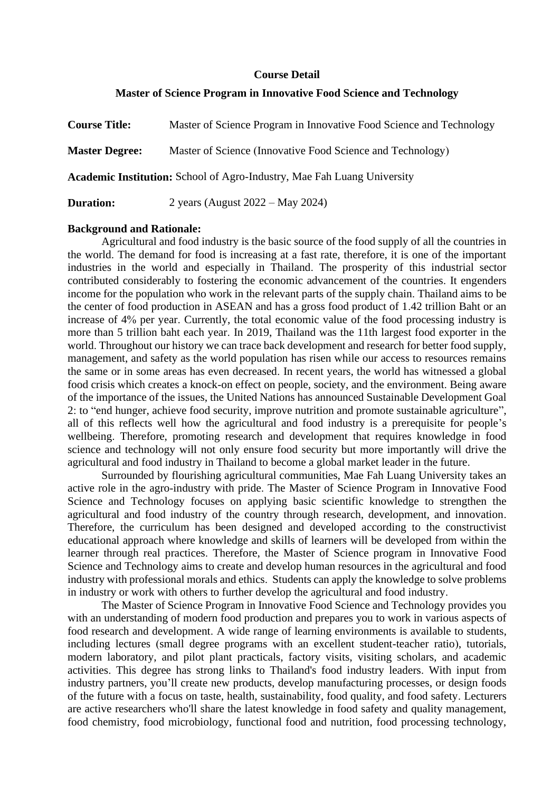### **Course Detail**

### **Master of Science Program in Innovative Food Science and Technology**

| <b>Course Title:</b>                                                           | Master of Science Program in Innovative Food Science and Technology |  |  |  |  |
|--------------------------------------------------------------------------------|---------------------------------------------------------------------|--|--|--|--|
| <b>Master Degree:</b>                                                          | Master of Science (Innovative Food Science and Technology)          |  |  |  |  |
| <b>Academic Institution:</b> School of Agro-Industry, Mae Fah Luang University |                                                                     |  |  |  |  |
| <b>Duration:</b>                                                               | 2 years (August $2022 - May 2024$ )                                 |  |  |  |  |

### **Background and Rationale:**

Agricultural and food industry is the basic source of the food supply of all the countries in the world. The demand for food is increasing at a fast rate, therefore, it is one of the important industries in the world and especially in Thailand. The prosperity of this industrial sector contributed considerably to fostering the economic advancement of the countries. It engenders income for the population who work in the relevant parts of the supply chain. Thailand aims to be the center of food production in ASEAN and has a gross food product of 1.42 trillion Baht or an increase of 4% per year. Currently, the total economic value of the food processing industry is more than 5 trillion baht each year. In 2019, Thailand was the 11th largest food exporter in the world. Throughout our history we can trace back development and research for better food supply, management, and safety as the world population has risen while our access to resources remains the same or in some areas has even decreased. In recent years, the world has witnessed a global food crisis which creates a knock-on effect on people, society, and the environment. Being aware of the importance of the issues, the United Nations has announced Sustainable Development Goal 2: to "end hunger, achieve food security, improve nutrition and promote sustainable agriculture", all of this reflects well how the agricultural and food industry is a prerequisite for people's wellbeing. Therefore, promoting research and development that requires knowledge in food science and technology will not only ensure food security but more importantly will drive the agricultural and food industry in Thailand to become a global market leader in the future.

Surrounded by flourishing agricultural communities, Mae Fah Luang University takes an active role in the agro-industry with pride. The Master of Science Program in Innovative Food Science and Technology focuses on applying basic scientific knowledge to strengthen the agricultural and food industry of the country through research, development, and innovation. Therefore, the curriculum has been designed and developed according to the constructivist educational approach where knowledge and skills of learners will be developed from within the learner through real practices. Therefore, the Master of Science program in Innovative Food Science and Technology aims to create and develop human resources in the agricultural and food industry with professional morals and ethics. Students can apply the knowledge to solve problems in industry or work with others to further develop the agricultural and food industry.

The Master of Science Program in Innovative Food Science and Technology provides you with an understanding of modern food production and prepares you to work in various aspects of food research and development. A wide range of learning environments is available to students, including lectures (small degree programs with an excellent student-teacher ratio), tutorials, modern laboratory, and pilot plant practicals, factory visits, visiting scholars, and academic activities. This degree has strong links to Thailand's food industry leaders. With input from industry partners, you'll create new products, develop manufacturing processes, or design foods of the future with a focus on taste, health, sustainability, food quality, and food safety. Lecturers are active researchers who'll share the latest knowledge in food safety and quality management, food chemistry, food microbiology, functional food and nutrition, food processing technology,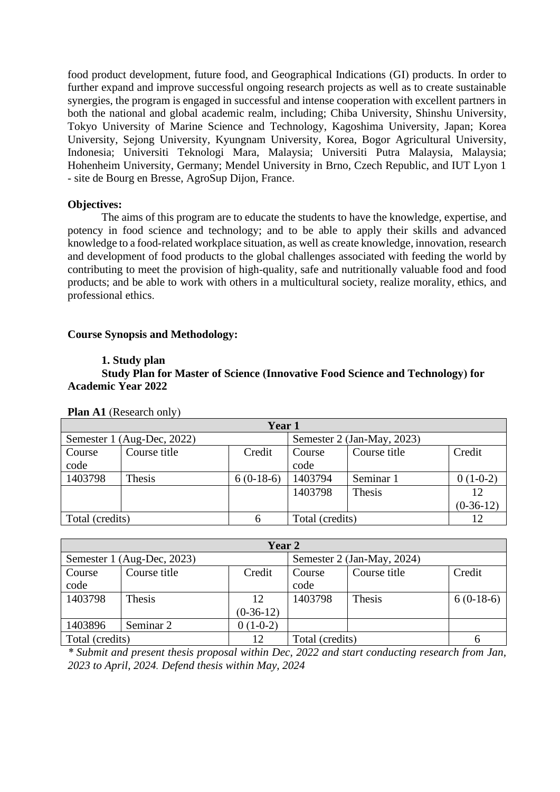food product development, future food, and Geographical Indications (GI) products. In order to further expand and improve successful ongoing research projects as well as to create sustainable synergies, the program is engaged in successful and intense cooperation with excellent partners in both the national and global academic realm, including; Chiba University, Shinshu University, Tokyo University of Marine Science and Technology, Kagoshima University, Japan; Korea University, Sejong University, Kyungnam University, Korea, Bogor Agricultural University, Indonesia; Universiti Teknologi Mara, Malaysia; Universiti Putra Malaysia, Malaysia; Hohenheim University, Germany; Mendel University in Brno, Czech Republic, and IUT Lyon 1 - site de Bourg en Bresse, AgroSup Dijon, France.

### **Objectives:**

The aims of this program are to educate the students to have the knowledge, expertise, and potency in food science and technology; and to be able to apply their skills and advanced knowledge to a food-related workplace situation, as well as create knowledge, innovation, research and development of food products to the global challenges associated with feeding the world by contributing to meet the provision of high-quality, safe and nutritionally valuable food and food products; and be able to work with others in a multicultural society, realize morality, ethics, and professional ethics.

### **Course Synopsis and Methodology:**

### **1. Study plan**

### **Study Plan for Master of Science (Innovative Food Science and Technology) for Academic Year 2022**

| Year 1          |                            |             |                            |              |             |  |
|-----------------|----------------------------|-------------|----------------------------|--------------|-------------|--|
|                 | Semester 1 (Aug-Dec, 2022) |             | Semester 2 (Jan-May, 2023) |              |             |  |
| Course          | Course title               | Credit      | Course                     | Course title | Credit      |  |
| code            |                            |             | code                       |              |             |  |
| 1403798         | Thesis                     | $6(0-18-6)$ | 1403794                    | Seminar 1    | $0(1-0-2)$  |  |
|                 |                            |             | 1403798                    | Thesis       | 12          |  |
|                 |                            |             |                            |              | $(0-36-12)$ |  |
| Total (credits) |                            |             | Total (credits)            |              | 12          |  |

**Plan A1** (Research only)

| Year 2          |                            |             |                 |                            |             |  |
|-----------------|----------------------------|-------------|-----------------|----------------------------|-------------|--|
|                 | Semester 1 (Aug-Dec, 2023) |             |                 | Semester 2 (Jan-May, 2024) |             |  |
| Course          | Course title               | Credit      | Course          | Course title               | Credit      |  |
| code            |                            |             | code            |                            |             |  |
| 1403798         | Thesis                     | 12          | 1403798         | <b>Thesis</b>              | $6(0-18-6)$ |  |
|                 |                            | $(0-36-12)$ |                 |                            |             |  |
| 1403896         | Seminar 2                  | $0(1-0-2)$  |                 |                            |             |  |
| Total (credits) |                            | 12          | Total (credits) |                            | 6           |  |

*\* Submit and present thesis proposal within Dec, 2022 and start conducting research from Jan, 2023 to April, 2024. Defend thesis within May, 2024*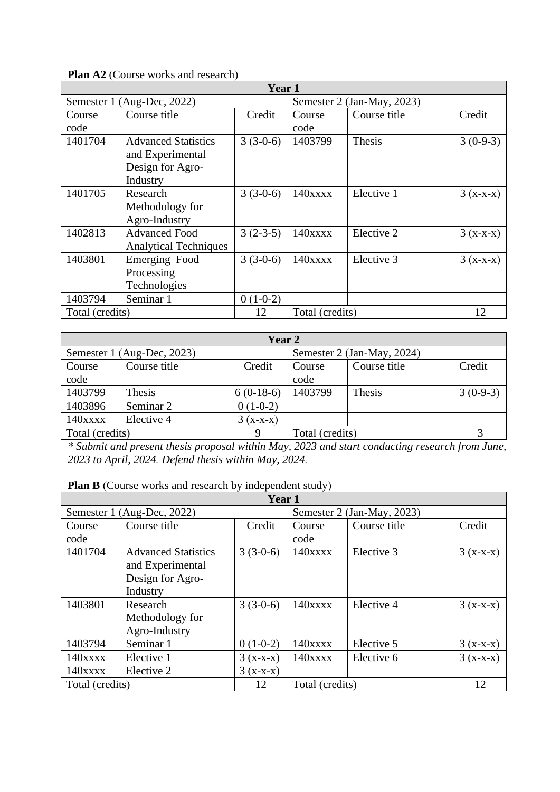|                | <b>Plan AZ</b> (Course works and research)                                     |            |                |                   |            |
|----------------|--------------------------------------------------------------------------------|------------|----------------|-------------------|------------|
|                |                                                                                | Year 1     |                |                   |            |
| Semester 1     | (Aug-Dec, 2022)                                                                |            | Semester 2     | $(Jan-May, 2023)$ |            |
| Course<br>code | Course title                                                                   | Credit     | Course<br>code | Course title      | Credit     |
| 1401704        | <b>Advanced Statistics</b><br>and Experimental<br>Design for Agro-<br>Industry | $3(3-0-6)$ | 1403799        | Thesis            | $3(0-9-3)$ |
| 1401705        | Research<br>Methodology for<br>Agro-Industry                                   | $3(3-0-6)$ | $140$ xxxx     | Elective 1        | $3(x-x-x)$ |
| 1402813        | <b>Advanced Food</b><br><b>Analytical Techniques</b>                           | $3(2-3-5)$ | $140$ xxxx     | Elective 2        | $3(x-x-x)$ |
| 1403801        | Emerging Food<br>Processing<br>Technologies                                    | $3(3-0-6)$ | $140$ xxxx     | Elective 3        | $3(x-x-x)$ |
| 1403794        | Seminar 1                                                                      | $0(1-0-2)$ |                |                   |            |

### **Plan A2** (Course works and research)

| Year 2          |                            |             |                 |                            |            |  |
|-----------------|----------------------------|-------------|-----------------|----------------------------|------------|--|
|                 | Semester 1 (Aug-Dec, 2023) |             |                 | Semester 2 (Jan-May, 2024) |            |  |
| Course          | Course title               | Credit      | Course          | Course title               | Credit     |  |
| code            |                            |             | code            |                            |            |  |
| 1403799         | Thesis                     | $6(0-18-6)$ | 1403799         | Thesis                     | $3(0-9-3)$ |  |
| 1403896         | Seminar 2                  | $0(1-0-2)$  |                 |                            |            |  |
| $140$ xxxx      | Elective 4                 | $3(x-x-x)$  |                 |                            |            |  |
| Total (credits) |                            | Q           | Total (credits) |                            |            |  |

Total (credits) 12 Total (credits) 12 Total (credits) 12

*\* Submit and present thesis proposal within May, 2023 and start conducting research from June, 2023 to April, 2024. Defend thesis within May, 2024.* 

|  |  |  |  |  |  | Plan B (Course works and research by independent study) |  |
|--|--|--|--|--|--|---------------------------------------------------------|--|
|--|--|--|--|--|--|---------------------------------------------------------|--|

| Year 1          |                            |            |                            |              |            |  |
|-----------------|----------------------------|------------|----------------------------|--------------|------------|--|
|                 | Semester 1 (Aug-Dec, 2022) |            | Semester 2 (Jan-May, 2023) |              |            |  |
| Course          | Course title               | Credit     | Course                     | Course title | Credit     |  |
| code            |                            |            | code                       |              |            |  |
| 1401704         | <b>Advanced Statistics</b> | $3(3-0-6)$ | $140$ xxxx                 | Elective 3   | $3(x-x-x)$ |  |
|                 | and Experimental           |            |                            |              |            |  |
|                 | Design for Agro-           |            |                            |              |            |  |
|                 | Industry                   |            |                            |              |            |  |
| 1403801         | Research                   | $3(3-0-6)$ | $140$ xxxx                 | Elective 4   | $3(x-x-x)$ |  |
|                 | Methodology for            |            |                            |              |            |  |
|                 | Agro-Industry              |            |                            |              |            |  |
| 1403794         | Seminar 1                  | $0(1-0-2)$ | $140$ xxxx                 | Elective 5   | $3(x-x-x)$ |  |
| $140x$ $xx$     | Elective 1                 | $3(x-x-x)$ | $140$ xxxx                 | Elective 6   | $3(x-x-x)$ |  |
| $140$ xxxx      | Elective 2                 | $3(x-x-x)$ |                            |              |            |  |
| Total (credits) |                            | 12         | Total (credits)            |              | 12         |  |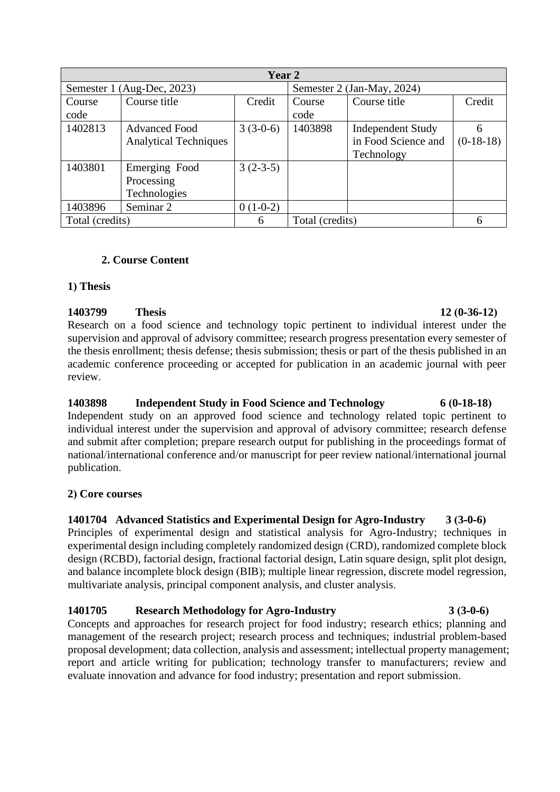| Year 2          |                              |            |                            |                          |             |  |
|-----------------|------------------------------|------------|----------------------------|--------------------------|-------------|--|
|                 | Semester 1 (Aug-Dec, 2023)   |            | Semester 2 (Jan-May, 2024) |                          |             |  |
| Course          | Course title                 | Credit     | Course                     | Course title             | Credit      |  |
| code            |                              |            | code                       |                          |             |  |
| 1402813         | <b>Advanced Food</b>         | $3(3-0-6)$ | 1403898                    | <b>Independent Study</b> | 6           |  |
|                 | <b>Analytical Techniques</b> |            |                            | in Food Science and      | $(0-18-18)$ |  |
|                 |                              |            |                            | Technology               |             |  |
| 1403801         | Emerging Food                | $3(2-3-5)$ |                            |                          |             |  |
|                 | Processing                   |            |                            |                          |             |  |
|                 | Technologies                 |            |                            |                          |             |  |
| 1403896         | Seminar 2                    | $0(1-0-2)$ |                            |                          |             |  |
| Total (credits) |                              | 6          | Total (credits)            |                          | 6           |  |

### **2. Course Content**

### **1) Thesis**

**1403799 Thesis 12 (0-36-12)** Research on a food science and technology topic pertinent to individual interest under the supervision and approval of advisory committee; research progress presentation every semester of the thesis enrollment; thesis defense; thesis submission; thesis or part of the thesis published in an academic conference proceeding or accepted for publication in an academic journal with peer review.

**1403898 Independent Study in Food Science and Technology 6 (0-18-18)** Independent study on an approved food science and technology related topic pertinent to individual interest under the supervision and approval of advisory committee; research defense and submit after completion; prepare research output for publishing in the proceedings format of national/international conference and/or manuscript for peer review national/international journal publication.

### **2) Core courses**

## **1401704 Advanced Statistics and Experimental Design for Agro-Industry 3 (3-0-6)**

Principles of experimental design and statistical analysis for Agro-Industry; techniques in experimental design including completely randomized design (CRD), randomized complete block design (RCBD), factorial design, fractional factorial design, Latin square design, split plot design, and balance incomplete block design (BIB); multiple linear regression, discrete model regression, multivariate analysis, principal component analysis, and cluster analysis.

### **1401705 Research Methodology for Agro-Industry 3 (3-0-6)**

Concepts and approaches for research project for food industry; research ethics; planning and management of the research project; research process and techniques; industrial problem-based proposal development; data collection, analysis and assessment; intellectual property management; report and article writing for publication; technology transfer to manufacturers; review and evaluate innovation and advance for food industry; presentation and report submission.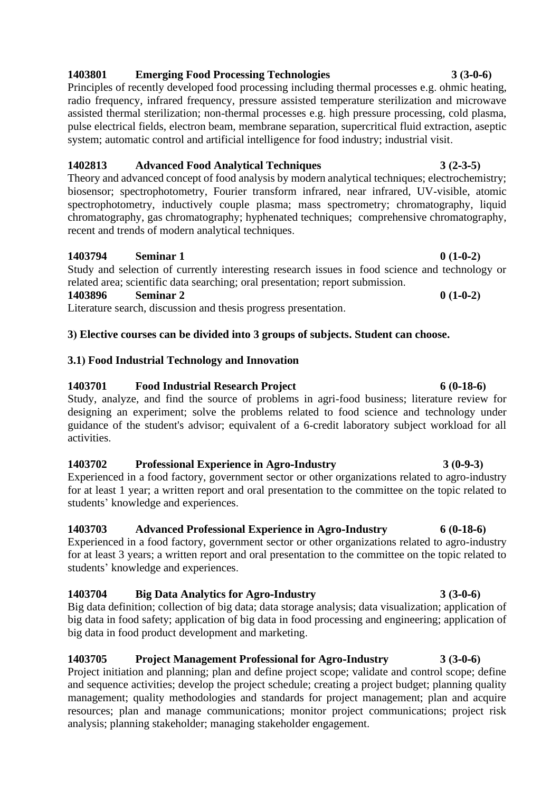# **1403801 Emerging Food Processing Technologies 3 (3-0-6)**

Principles of recently developed food processing including thermal processes e.g. ohmic heating, radio frequency, infrared frequency, pressure assisted temperature sterilization and microwave assisted thermal sterilization; non-thermal processes e.g. high pressure processing, cold plasma, pulse electrical fields, electron beam, membrane separation, supercritical fluid extraction, aseptic system; automatic control and artificial intelligence for food industry; industrial visit.

## **1402813 Advanced Food Analytical Techniques 3 (2-3-5)**

Theory and advanced concept of food analysis by modern analytical techniques; electrochemistry; biosensor; spectrophotometry, Fourier transform infrared, near infrared, UV-visible, atomic spectrophotometry, inductively couple plasma; mass spectrometry; chromatography, liquid chromatography, gas chromatography; hyphenated techniques; comprehensive chromatography, recent and trends of modern analytical techniques.

## **1403794 Seminar 1 0 (1-0-2)**

Study and selection of currently interesting research issues in food science and technology or related area; scientific data searching; oral presentation; report submission.

### **1403896 Seminar 2 0 (1-0-2)**

Literature search, discussion and thesis progress presentation.

## **3) Elective courses can be divided into 3 groups of subjects. Student can choose.**

## **3.1) Food Industrial Technology and Innovation**

## **1403701 Food Industrial Research Project 6 (0-18-6)**

Study, analyze, and find the source of problems in agri-food business; literature review for designing an experiment; solve the problems related to food science and technology under guidance of the student's advisor; equivalent of a 6-credit laboratory subject workload for all activities.

## **1403702 Professional Experience in Agro-Industry 3 (0-9-3)**

Experienced in a food factory, government sector or other organizations related to agro-industry for at least 1 year; a written report and oral presentation to the committee on the topic related to students' knowledge and experiences.

## **1403703 Advanced Professional Experience in Agro-Industry 6 (0-18-6)**

Experienced in a food factory, government sector or other organizations related to agro-industry for at least 3 years; a written report and oral presentation to the committee on the topic related to students' knowledge and experiences.

## **1403704 Big Data Analytics for Agro-Industry 3 (3-0-6)**

Big data definition; collection of big data; data storage analysis; data visualization; application of big data in food safety; application of big data in food processing and engineering; application of big data in food product development and marketing.

## **1403705 Project Management Professional for Agro-Industry 3 (3-0-6)**

Project initiation and planning; plan and define project scope; validate and control scope; define and sequence activities; develop the project schedule; creating a project budget; planning quality management; quality methodologies and standards for project management; plan and acquire resources; plan and manage communications; monitor project communications; project risk analysis; planning stakeholder; managing stakeholder engagement.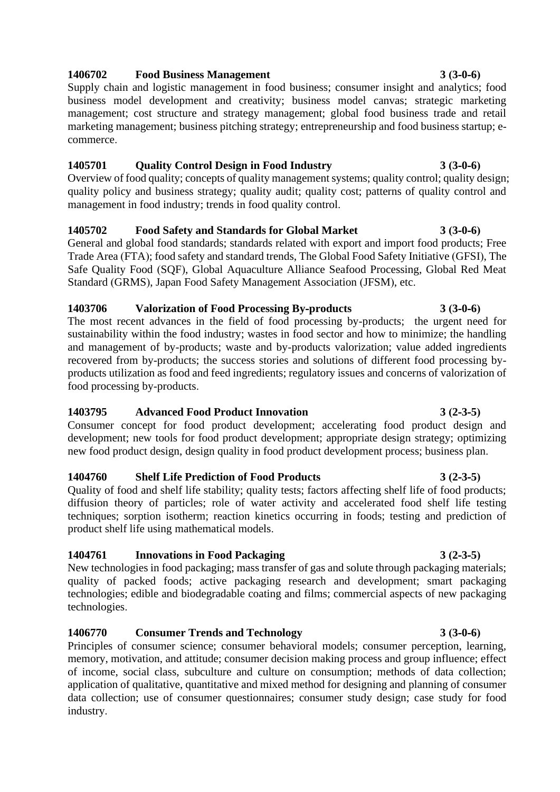## **1406702 Food Business Management 3 (3-0-6)**

Supply chain and logistic management in food business; consumer insight and analytics; food business model development and creativity; business model canvas; strategic marketing management; cost structure and strategy management; global food business trade and retail marketing management; business pitching strategy; entrepreneurship and food business startup; ecommerce.

### **1405701 Quality Control Design in Food Industry 3 (3-0-6)**

Overview of food quality; concepts of quality management systems; quality control; quality design; quality policy and business strategy; quality audit; quality cost; patterns of quality control and management in food industry; trends in food quality control.

# **1405702 Food Safety and Standards for Global Market 3 (3-0-6)**

General and global food standards; standards related with export and import food products; Free Trade Area (FTA); food safety and standard trends, The Global Food Safety Initiative (GFSI), The Safe Quality Food (SQF), Global Aquaculture Alliance Seafood Processing, Global Red Meat Standard (GRMS), Japan Food Safety Management Association (JFSM), etc.

### **1403706 Valorization of Food Processing By-products 3 (3-0-6)**

The most recent advances in the field of food processing by-products; the urgent need for sustainability within the food industry; wastes in food sector and how to minimize; the handling and management of by-products; waste and by-products valorization; value added ingredients recovered from by-products; the success stories and solutions of different food processing byproducts utilization as food and feed ingredients; regulatory issues and concerns of valorization of food processing by-products.

## **1403795 Advanced Food Product Innovation 3 (2-3-5)**

Consumer concept for food product development; accelerating food product design and development; new tools for food product development; appropriate design strategy; optimizing new food product design, design quality in food product development process; business plan.

## **1404760 Shelf Life Prediction of Food Products 3 (2-3-5)**

Quality of food and shelf life stability; quality tests; factors affecting shelf life of food products; diffusion theory of particles; role of water activity and accelerated food shelf life testing techniques; sorption isotherm; reaction kinetics occurring in foods; testing and prediction of product shelf life using mathematical models.

## **1404761 Innovations in Food Packaging 3 (2-3-5)**

New technologies in food packaging; mass transfer of gas and solute through packaging materials; quality of packed foods; active packaging research and development; smart packaging technologies; edible and biodegradable coating and films; commercial aspects of new packaging technologies.

## **1406770 Consumer Trends and Technology 3 (3-0-6)**

Principles of consumer science; consumer behavioral models; consumer perception, learning, memory, motivation, and attitude; consumer decision making process and group influence; effect of income, social class, subculture and culture on consumption; methods of data collection; application of qualitative, quantitative and mixed method for designing and planning of consumer data collection; use of consumer questionnaires; consumer study design; case study for food industry.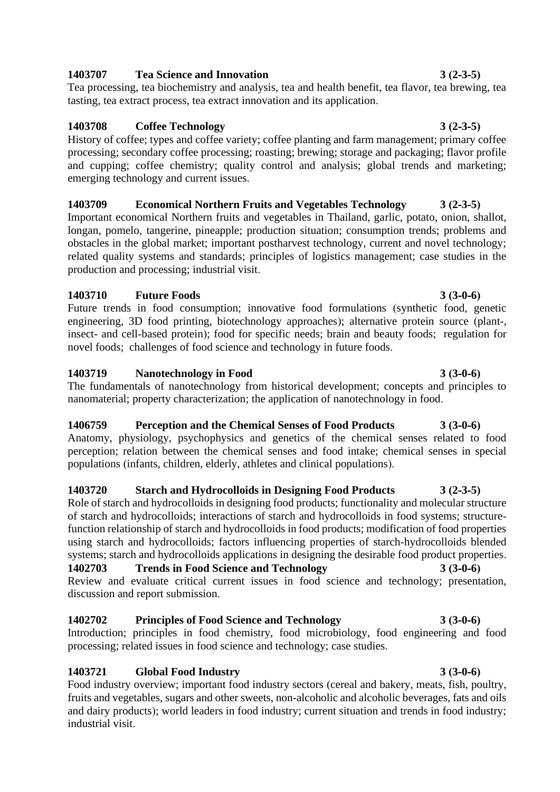## **1403707 Tea Science and Innovation 3 (2-3-5)**

Tea processing, tea biochemistry and analysis, tea and health benefit, tea flavor, tea brewing, tea tasting, tea extract process, tea extract innovation and its application.

## **1403708 Coffee Technology 3 (2-3-5)**

History of coffee; types and coffee variety; coffee planting and farm management; primary coffee processing; secondary coffee processing; roasting; brewing; storage and packaging; flavor profile and cupping; coffee chemistry; quality control and analysis; global trends and marketing; emerging technology and current issues.

# **1403709 Economical Northern Fruits and Vegetables Technology 3 (2-3-5)**

Important economical Northern fruits and vegetables in Thailand, garlic, potato, onion, shallot, longan, pomelo, tangerine, pineapple; production situation; consumption trends; problems and obstacles in the global market; important postharvest technology, current and novel technology; related quality systems and standards; principles of logistics management; case studies in the production and processing; industrial visit.

## **1403710 Future Foods 3 (3-0-6)**

Future trends in food consumption; innovative food formulations (synthetic food, genetic engineering, 3D food printing, biotechnology approaches); alternative protein source (plant-, insect- and cell-based protein); food for specific needs; brain and beauty foods; regulation for novel foods; challenges of food science and technology in future foods.

## **1403719 Nanotechnology in Food 3 (3-0-6)**

The fundamentals of nanotechnology from historical development; concepts and principles to nanomaterial; property characterization; the application of nanotechnology in food.

# **1406759 Perception and the Chemical Senses of Food Products 3 (3-0-6)**

Anatomy, physiology, psychophysics and genetics of the chemical senses related to food perception; relation between the chemical senses and food intake; chemical senses in special populations (infants, children, elderly, athletes and clinical populations).

## **1403720 Starch and Hydrocolloids in Designing Food Products 3 (2-3-5)**

Role of starch and hydrocolloids in designing food products; functionality and molecular structure of starch and hydrocolloids; interactions of starch and hydrocolloids in food systems; structurefunction relationship of starch and hydrocolloids in food products; modification of food properties using starch and hydrocolloids; factors influencing properties of starch-hydrocolloids blended systems; starch and hydrocolloids applications in designing the desirable food product properties. **1402703 Trends in Food Science and Technology 3 (3-0-6)**

Review and evaluate critical current issues in food science and technology; presentation, discussion and report submission.

# **1402702 Principles of Food Science and Technology 3 (3-0-6)**

Introduction; principles in food chemistry, food microbiology, food engineering and food processing; related issues in food science and technology; case studies.

# **1403721 Global Food Industry 3 (3-0-6)**

Food industry overview; important food industry sectors (cereal and bakery, meats, fish, poultry, fruits and vegetables, sugars and other sweets, non-alcoholic and alcoholic beverages, fats and oils and dairy products); world leaders in food industry; current situation and trends in food industry; industrial visit.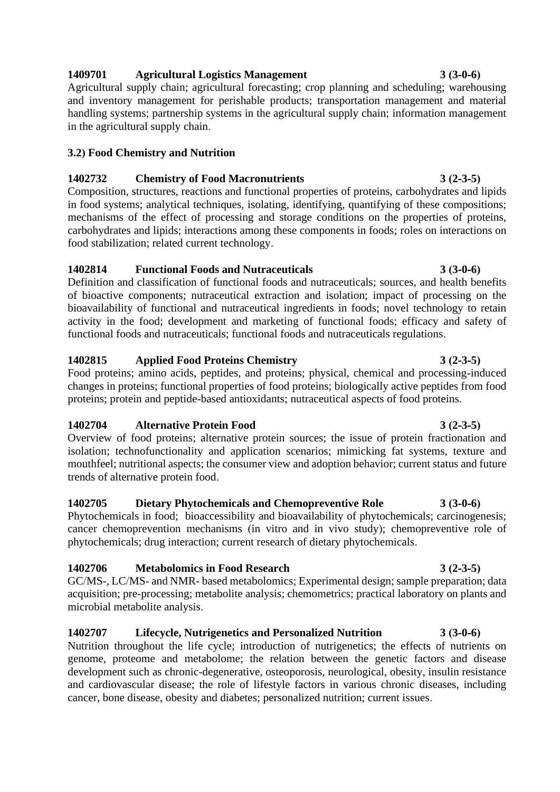# **1409701 Agricultural Logistics Management 3 (3-0-6)**

Agricultural supply chain; agricultural forecasting; crop planning and scheduling; warehousing and inventory management for perishable products; transportation management and material handling systems; partnership systems in the agricultural supply chain; information management in the agricultural supply chain.

## **3.2) Food Chemistry and Nutrition**

## **1402732 Chemistry of Food Macronutrients 3 (2-3-5)**

Composition, structures, reactions and functional properties of proteins, carbohydrates and lipids in food systems; analytical techniques, isolating, identifying, quantifying of these compositions; mechanisms of the effect of processing and storage conditions on the properties of proteins, carbohydrates and lipids; interactions among these components in foods; roles on interactions on food stabilization; related current technology.

## **1402814 Functional Foods and Nutraceuticals 3 (3-0-6)**

Definition and classification of functional foods and nutraceuticals; sources, and health benefits of bioactive components; nutraceutical extraction and isolation; impact of processing on the bioavailability of functional and nutraceutical ingredients in foods; novel technology to retain activity in the food; development and marketing of functional foods; efficacy and safety of functional foods and nutraceuticals; functional foods and nutraceuticals regulations.

# **1402815 Applied Food Proteins Chemistry 3 (2-3-5)**

Food proteins; amino acids, peptides, and proteins; physical, chemical and processing-induced changes in proteins; functional properties of food proteins; biologically active peptides from food proteins; protein and peptide-based antioxidants; nutraceutical aspects of food proteins.

# **1402704 Alternative Protein Food 3 (2-3-5)**

Overview of food proteins; alternative protein sources; the issue of protein fractionation and isolation; technofunctionality and application scenarios; mimicking fat systems, texture and mouthfeel; nutritional aspects; the consumer view and adoption behavior; current status and future trends of alternative protein food.

# **1402705 Dietary Phytochemicals and Chemopreventive Role 3 (3-0-6)**

Phytochemicals in food; bioaccessibility and bioavailability of phytochemicals; carcinogenesis; cancer chemoprevention mechanisms (in vitro and in vivo study); chemopreventive role of phytochemicals; drug interaction; current research of dietary phytochemicals.

# **1402706 Metabolomics in Food Research 3 (2-3-5)**

GC/MS-, LC/MS- and NMR- based metabolomics; Experimental design; sample preparation; data acquisition; pre-processing; metabolite analysis; chemometrics; practical laboratory on plants and microbial metabolite analysis.

# **1402707 Lifecycle, Nutrigenetics and Personalized Nutrition 3 (3-0-6)**

Nutrition throughout the life cycle; introduction of nutrigenetics; the effects of nutrients on genome, proteome and metabolome; the relation between the genetic factors and disease development such as chronic-degenerative, osteoporosis, neurological, obesity, insulin resistance and cardiovascular disease; the role of lifestyle factors in various chronic diseases, including cancer, bone disease, obesity and diabetes; personalized nutrition; current issues.